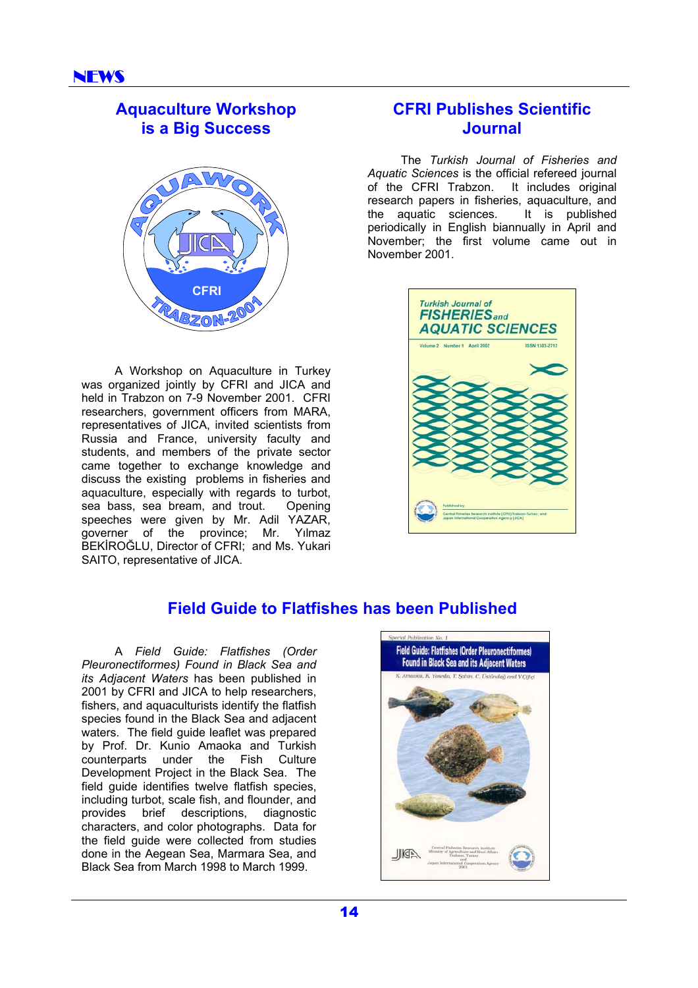# **Aquaculture Workshop is a Big Success**



A Workshop on Aquaculture in Turkey was organized jointly by CFRI and JICA and held in Trabzon on 7-9 November 2001. CFRI researchers, government officers from MARA, representatives of JICA, invited scientists from Russia and France, university faculty and students, and members of the private sector came together to exchange knowledge and discuss the existing problems in fisheries and aquaculture, especially with regards to turbot, sea bass, sea bream, and trout. Opening speeches were given by Mr. Adil YAZAR, governer of the province; Mr. Yılmaz BEKİROĞLU, Director of CFRI; and Ms. Yukari SAITO, representative of JICA.

# **CFRI Publishes Scientific Journal**

The *Turkish Journal of Fisheries and Aquatic Sciences* is the official refereed journal of the CFRI Trabzon. It includes original research papers in fisheries, aquaculture, and the aquatic sciences. It is published periodically in English biannually in April and November; the first volume came out in November 2001.



# **Field Guide to Flatfishes has been Published**

A *Field Guide: Flatfishes (Order Pleuronectiformes) Found in Black Sea and its Adjacent Waters* has been published in 2001 by CFRI and JICA to help researchers, fishers, and aquaculturists identify the flatfish species found in the Black Sea and adjacent waters. The field guide leaflet was prepared by Prof. Dr. Kunio Amaoka and Turkish counterparts under the Fish Culture Development Project in the Black Sea. The field guide identifies twelve flatfish species, including turbot, scale fish, and flounder, and provides brief descriptions, diagnostic characters, and color photographs. Data for the field guide were collected from studies done in the Aegean Sea, Marmara Sea, and Black Sea from March 1998 to March 1999.

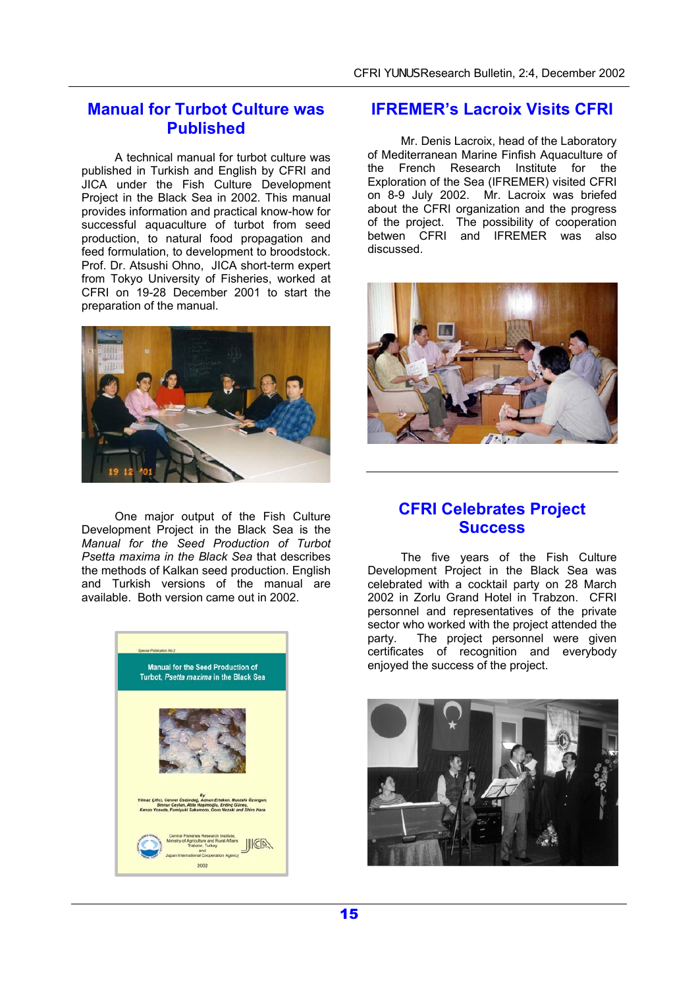#### **Manual for Turbot Culture was Published**

A technical manual for turbot culture was published in Turkish and English by CFRI and JICA under the Fish Culture Development Project in the Black Sea in 2002. This manual provides information and practical know-how for successful aquaculture of turbot from seed production, to natural food propagation and feed formulation, to development to broodstock. Prof. Dr. Atsushi Ohno, JICA short-term expert from Tokyo University of Fisheries, worked at CFRI on 19-28 December 2001 to start the preparation of the manual.



One major output of the Fish Culture Development Project in the Black Sea is the *Manual for the Seed Production of Turbot Psetta maxima in the Black Sea* that describes the methods of Kalkan seed production. English and Turkish versions of the manual are available. Both version came out in 2002.



#### **IFREMER's Lacroix Visits CFRI**

Mr. Denis Lacroix, head of the Laboratory of Mediterranean Marine Finfish Aquaculture of the French Research Institute for the Exploration of the Sea (IFREMER) visited CFRI on 8-9 July 2002. Mr. Lacroix was briefed about the CFRI organization and the progress of the project. The possibility of cooperation betwen CFRI and IFREMER was also discussed.



### **CFRI Celebrates Project Success**

The five years of the Fish Culture Development Project in the Black Sea was celebrated with a cocktail party on 28 March 2002 in Zorlu Grand Hotel in Trabzon. CFRI personnel and representatives of the private sector who worked with the project attended the party. The project personnel were given certificates of recognition and everybody enjoyed the success of the project.